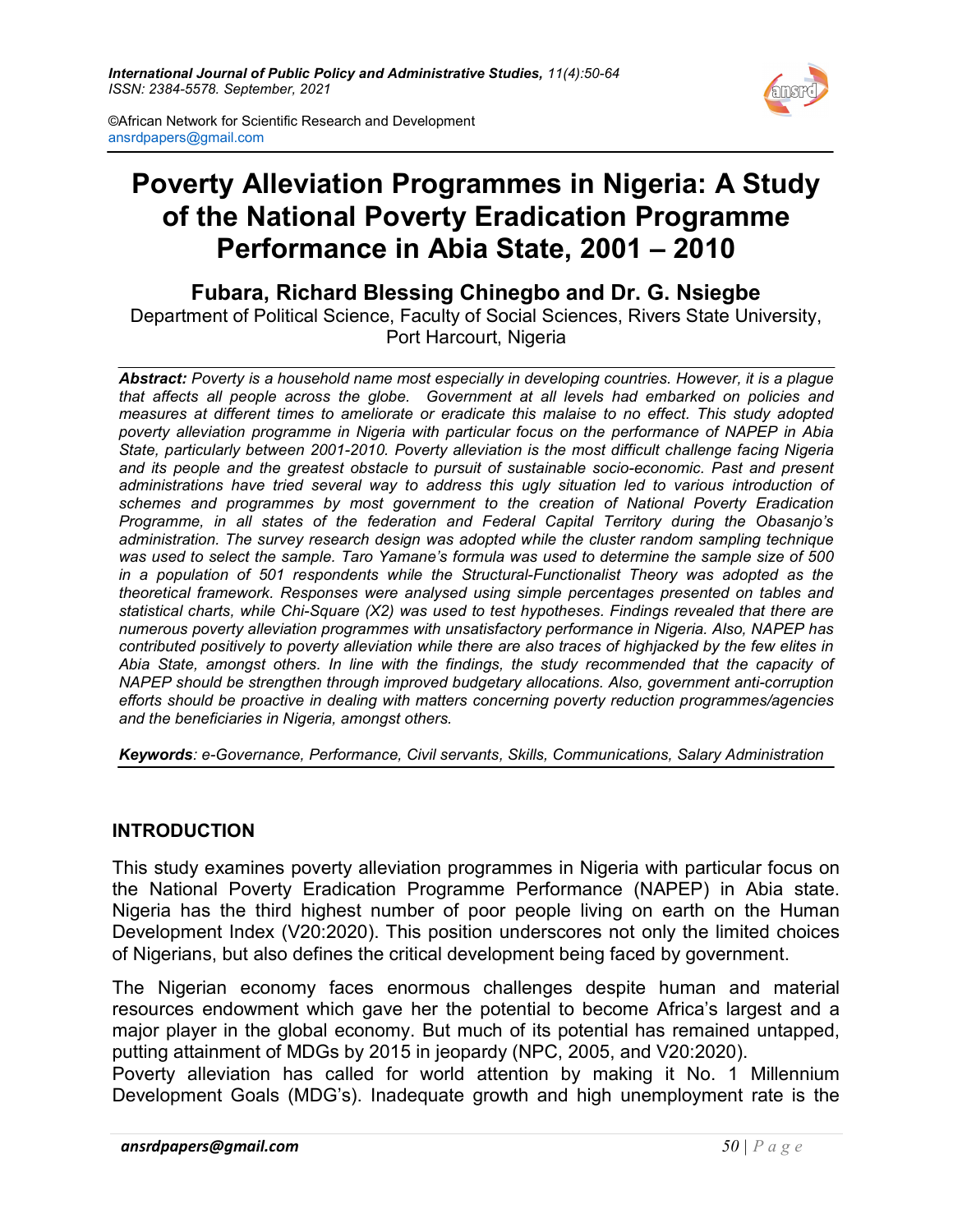

©African Network for Scientific Research and Development ansrdpapers@gmail.com

# Poverty Alleviation Programmes in Nigeria: A Study of the National Poverty Eradication Programme Performance in Abia State, 2001 – 2010

Fubara, Richard Blessing Chinegbo and Dr. G. Nsiegbe Department of Political Science, Faculty of Social Sciences, Rivers State University, Port Harcourt, Nigeria

Abstract: Poverty is a household name most especially in developing countries. However, it is a plague that affects all people across the globe. Government at all levels had embarked on policies and measures at different times to ameliorate or eradicate this malaise to no effect. This study adopted poverty alleviation programme in Nigeria with particular focus on the performance of NAPEP in Abia State, particularly between 2001-2010. Poverty alleviation is the most difficult challenge facing Nigeria and its people and the greatest obstacle to pursuit of sustainable socio-economic. Past and present administrations have tried several way to address this ugly situation led to various introduction of schemes and programmes by most government to the creation of National Poverty Eradication Programme, in all states of the federation and Federal Capital Territory during the Obasanjo's administration. The survey research design was adopted while the cluster random sampling technique was used to select the sample. Taro Yamane's formula was used to determine the sample size of 500 in a population of 501 respondents while the Structural-Functionalist Theory was adopted as the theoretical framework. Responses were analysed using simple percentages presented on tables and statistical charts, while Chi-Square (X2) was used to test hypotheses. Findings revealed that there are numerous poverty alleviation programmes with unsatisfactory performance in Nigeria. Also, NAPEP has contributed positively to poverty alleviation while there are also traces of highjacked by the few elites in Abia State, amongst others. In line with the findings, the study recommended that the capacity of NAPEP should be strengthen through improved budgetary allocations. Also, government anti-corruption efforts should be proactive in dealing with matters concerning poverty reduction programmes/agencies and the beneficiaries in Nigeria, amongst others.

Keywords: e-Governance, Performance, Civil servants, Skills, Communications, Salary Administration

#### INTRODUCTION

This study examines poverty alleviation programmes in Nigeria with particular focus on the National Poverty Eradication Programme Performance (NAPEP) in Abia state. Nigeria has the third highest number of poor people living on earth on the Human Development Index (V20:2020). This position underscores not only the limited choices of Nigerians, but also defines the critical development being faced by government.

The Nigerian economy faces enormous challenges despite human and material resources endowment which gave her the potential to become Africa's largest and a major player in the global economy. But much of its potential has remained untapped, putting attainment of MDGs by 2015 in jeopardy (NPC, 2005, and V20:2020).

Poverty alleviation has called for world attention by making it No. 1 Millennium Development Goals (MDG's). Inadequate growth and high unemployment rate is the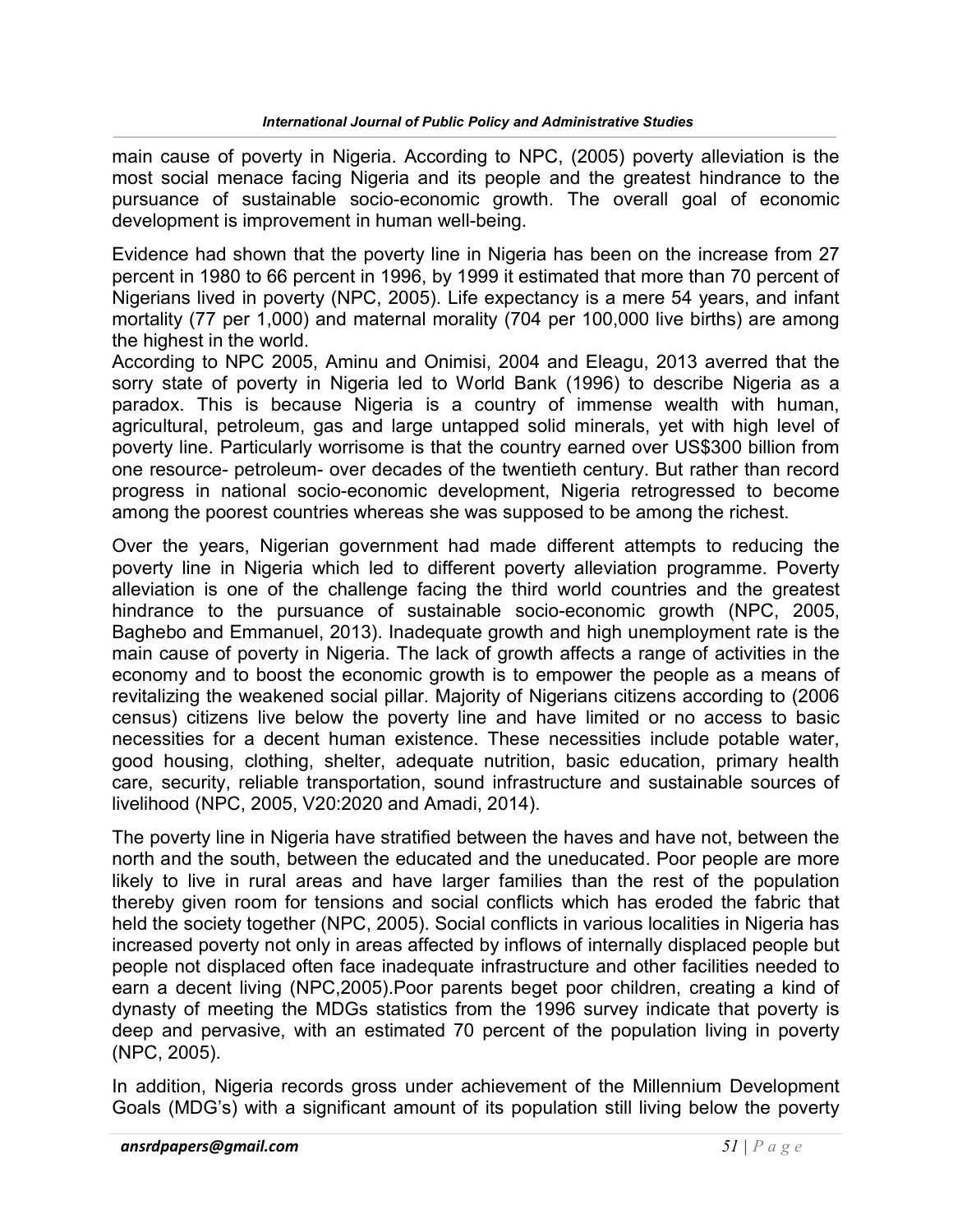main cause of poverty in Nigeria. According to NPC, (2005) poverty alleviation is the most social menace facing Nigeria and its people and the greatest hindrance to the pursuance of sustainable socio-economic growth. The overall goal of economic development is improvement in human well-being.

Evidence had shown that the poverty line in Nigeria has been on the increase from 27 percent in 1980 to 66 percent in 1996, by 1999 it estimated that more than 70 percent of Nigerians lived in poverty (NPC, 2005). Life expectancy is a mere 54 years, and infant mortality (77 per 1,000) and maternal morality (704 per 100,000 live births) are among the highest in the world.

According to NPC 2005, Aminu and Onimisi, 2004 and Eleagu, 2013 averred that the sorry state of poverty in Nigeria led to World Bank (1996) to describe Nigeria as a paradox. This is because Nigeria is a country of immense wealth with human, agricultural, petroleum, gas and large untapped solid minerals, yet with high level of poverty line. Particularly worrisome is that the country earned over US\$300 billion from one resource- petroleum- over decades of the twentieth century. But rather than record progress in national socio-economic development, Nigeria retrogressed to become among the poorest countries whereas she was supposed to be among the richest.

Over the years, Nigerian government had made different attempts to reducing the poverty line in Nigeria which led to different poverty alleviation programme. Poverty alleviation is one of the challenge facing the third world countries and the greatest hindrance to the pursuance of sustainable socio-economic growth (NPC, 2005, Baghebo and Emmanuel, 2013). Inadequate growth and high unemployment rate is the main cause of poverty in Nigeria. The lack of growth affects a range of activities in the economy and to boost the economic growth is to empower the people as a means of revitalizing the weakened social pillar. Majority of Nigerians citizens according to (2006 census) citizens live below the poverty line and have limited or no access to basic necessities for a decent human existence. These necessities include potable water, good housing, clothing, shelter, adequate nutrition, basic education, primary health care, security, reliable transportation, sound infrastructure and sustainable sources of livelihood (NPC, 2005, V20:2020 and Amadi, 2014).

The poverty line in Nigeria have stratified between the haves and have not, between the north and the south, between the educated and the uneducated. Poor people are more likely to live in rural areas and have larger families than the rest of the population thereby given room for tensions and social conflicts which has eroded the fabric that held the society together (NPC, 2005). Social conflicts in various localities in Nigeria has increased poverty not only in areas affected by inflows of internally displaced people but people not displaced often face inadequate infrastructure and other facilities needed to earn a decent living (NPC,2005).Poor parents beget poor children, creating a kind of dynasty of meeting the MDGs statistics from the 1996 survey indicate that poverty is deep and pervasive, with an estimated 70 percent of the population living in poverty (NPC, 2005).

In addition, Nigeria records gross under achievement of the Millennium Development Goals (MDG's) with a significant amount of its population still living below the poverty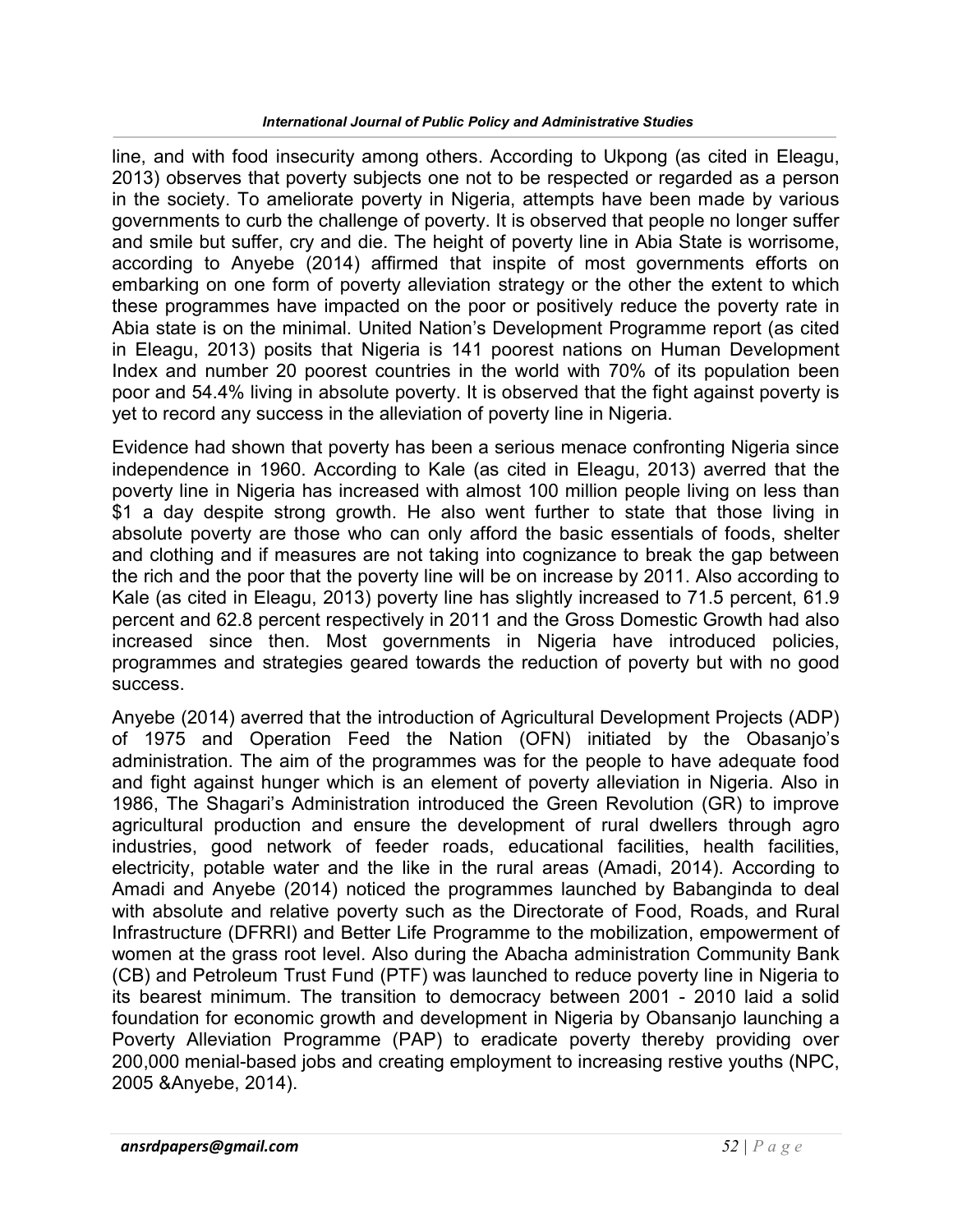line, and with food insecurity among others. According to Ukpong (as cited in Eleagu, 2013) observes that poverty subjects one not to be respected or regarded as a person in the society. To ameliorate poverty in Nigeria, attempts have been made by various governments to curb the challenge of poverty. It is observed that people no longer suffer and smile but suffer, cry and die. The height of poverty line in Abia State is worrisome, according to Anyebe (2014) affirmed that inspite of most governments efforts on embarking on one form of poverty alleviation strategy or the other the extent to which these programmes have impacted on the poor or positively reduce the poverty rate in Abia state is on the minimal. United Nation's Development Programme report (as cited in Eleagu, 2013) posits that Nigeria is 141 poorest nations on Human Development Index and number 20 poorest countries in the world with 70% of its population been poor and 54.4% living in absolute poverty. It is observed that the fight against poverty is yet to record any success in the alleviation of poverty line in Nigeria.

Evidence had shown that poverty has been a serious menace confronting Nigeria since independence in 1960. According to Kale (as cited in Eleagu, 2013) averred that the poverty line in Nigeria has increased with almost 100 million people living on less than \$1 a day despite strong growth. He also went further to state that those living in absolute poverty are those who can only afford the basic essentials of foods, shelter and clothing and if measures are not taking into cognizance to break the gap between the rich and the poor that the poverty line will be on increase by 2011. Also according to Kale (as cited in Eleagu, 2013) poverty line has slightly increased to 71.5 percent, 61.9 percent and 62.8 percent respectively in 2011 and the Gross Domestic Growth had also increased since then. Most governments in Nigeria have introduced policies, programmes and strategies geared towards the reduction of poverty but with no good success.

Anyebe (2014) averred that the introduction of Agricultural Development Projects (ADP) of 1975 and Operation Feed the Nation (OFN) initiated by the Obasanjo's administration. The aim of the programmes was for the people to have adequate food and fight against hunger which is an element of poverty alleviation in Nigeria. Also in 1986, The Shagari's Administration introduced the Green Revolution (GR) to improve agricultural production and ensure the development of rural dwellers through agro industries, good network of feeder roads, educational facilities, health facilities, electricity, potable water and the like in the rural areas (Amadi, 2014). According to Amadi and Anyebe (2014) noticed the programmes launched by Babanginda to deal with absolute and relative poverty such as the Directorate of Food, Roads, and Rural Infrastructure (DFRRI) and Better Life Programme to the mobilization, empowerment of women at the grass root level. Also during the Abacha administration Community Bank (CB) and Petroleum Trust Fund (PTF) was launched to reduce poverty line in Nigeria to its bearest minimum. The transition to democracy between 2001 - 2010 laid a solid foundation for economic growth and development in Nigeria by Obansanjo launching a Poverty Alleviation Programme (PAP) to eradicate poverty thereby providing over 200,000 menial-based jobs and creating employment to increasing restive youths (NPC, 2005 &Anyebe, 2014).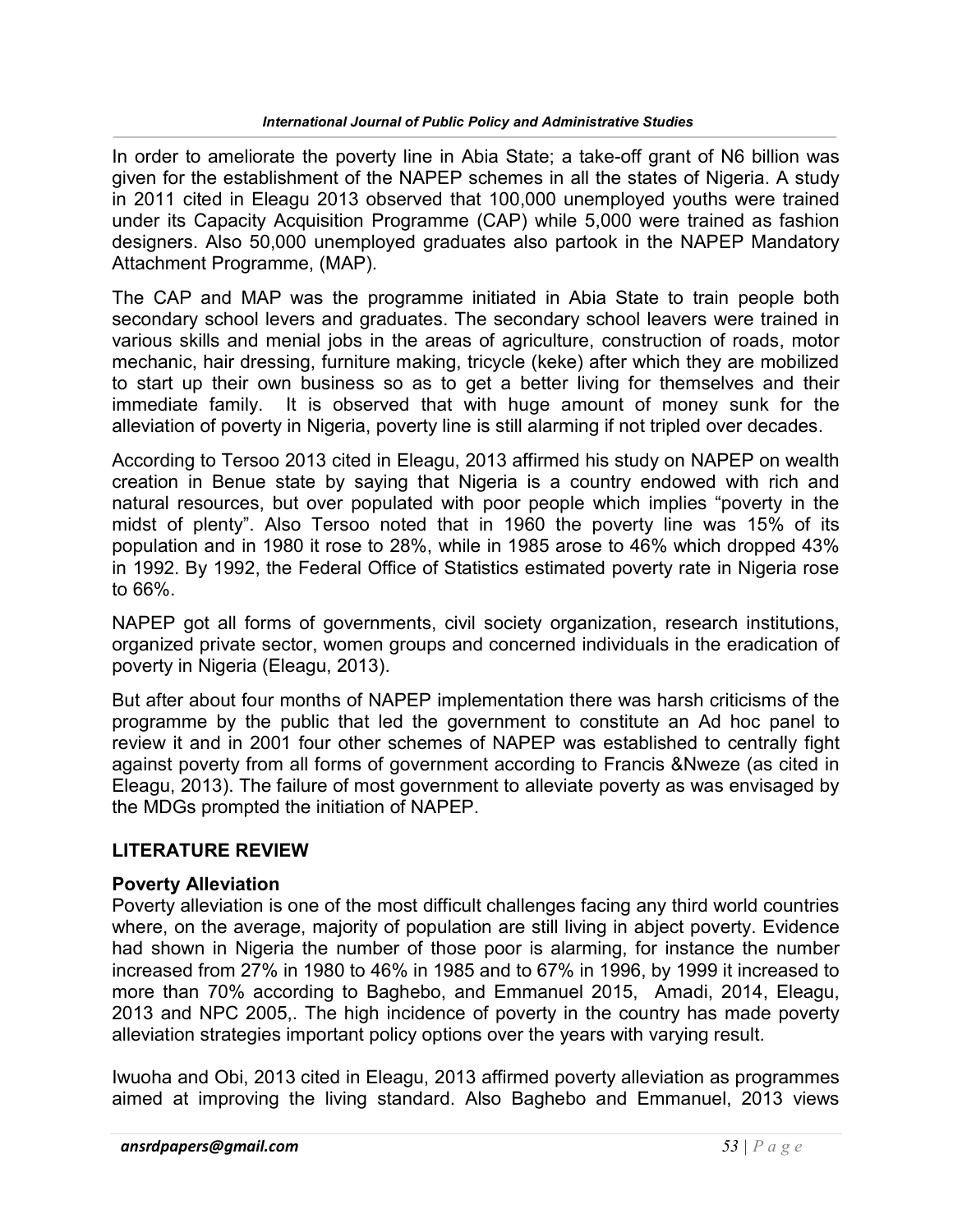In order to ameliorate the poverty line in Abia State; a take-off grant of N6 billion was given for the establishment of the NAPEP schemes in all the states of Nigeria. A study in 2011 cited in Eleagu 2013 observed that 100,000 unemployed youths were trained under its Capacity Acquisition Programme (CAP) while 5,000 were trained as fashion designers. Also 50,000 unemployed graduates also partook in the NAPEP Mandatory Attachment Programme, (MAP).

The CAP and MAP was the programme initiated in Abia State to train people both secondary school levers and graduates. The secondary school leavers were trained in various skills and menial jobs in the areas of agriculture, construction of roads, motor mechanic, hair dressing, furniture making, tricycle (keke) after which they are mobilized to start up their own business so as to get a better living for themselves and their immediate family. It is observed that with huge amount of money sunk for the alleviation of poverty in Nigeria, poverty line is still alarming if not tripled over decades.

According to Tersoo 2013 cited in Eleagu, 2013 affirmed his study on NAPEP on wealth creation in Benue state by saying that Nigeria is a country endowed with rich and natural resources, but over populated with poor people which implies "poverty in the midst of plenty". Also Tersoo noted that in 1960 the poverty line was 15% of its population and in 1980 it rose to 28%, while in 1985 arose to 46% which dropped 43% in 1992. By 1992, the Federal Office of Statistics estimated poverty rate in Nigeria rose to 66%.

NAPEP got all forms of governments, civil society organization, research institutions, organized private sector, women groups and concerned individuals in the eradication of poverty in Nigeria (Eleagu, 2013).

But after about four months of NAPEP implementation there was harsh criticisms of the programme by the public that led the government to constitute an Ad hoc panel to review it and in 2001 four other schemes of NAPEP was established to centrally fight against poverty from all forms of government according to Francis &Nweze (as cited in Eleagu, 2013). The failure of most government to alleviate poverty as was envisaged by the MDGs prompted the initiation of NAPEP.

# LITERATURE REVIEW

#### Poverty Alleviation

Poverty alleviation is one of the most difficult challenges facing any third world countries where, on the average, majority of population are still living in abject poverty. Evidence had shown in Nigeria the number of those poor is alarming, for instance the number increased from 27% in 1980 to 46% in 1985 and to 67% in 1996, by 1999 it increased to more than 70% according to Baghebo, and Emmanuel 2015, Amadi, 2014, Eleagu, 2013 and NPC 2005,. The high incidence of poverty in the country has made poverty alleviation strategies important policy options over the years with varying result.

Iwuoha and Obi, 2013 cited in Eleagu, 2013 affirmed poverty alleviation as programmes aimed at improving the living standard. Also Baghebo and Emmanuel, 2013 views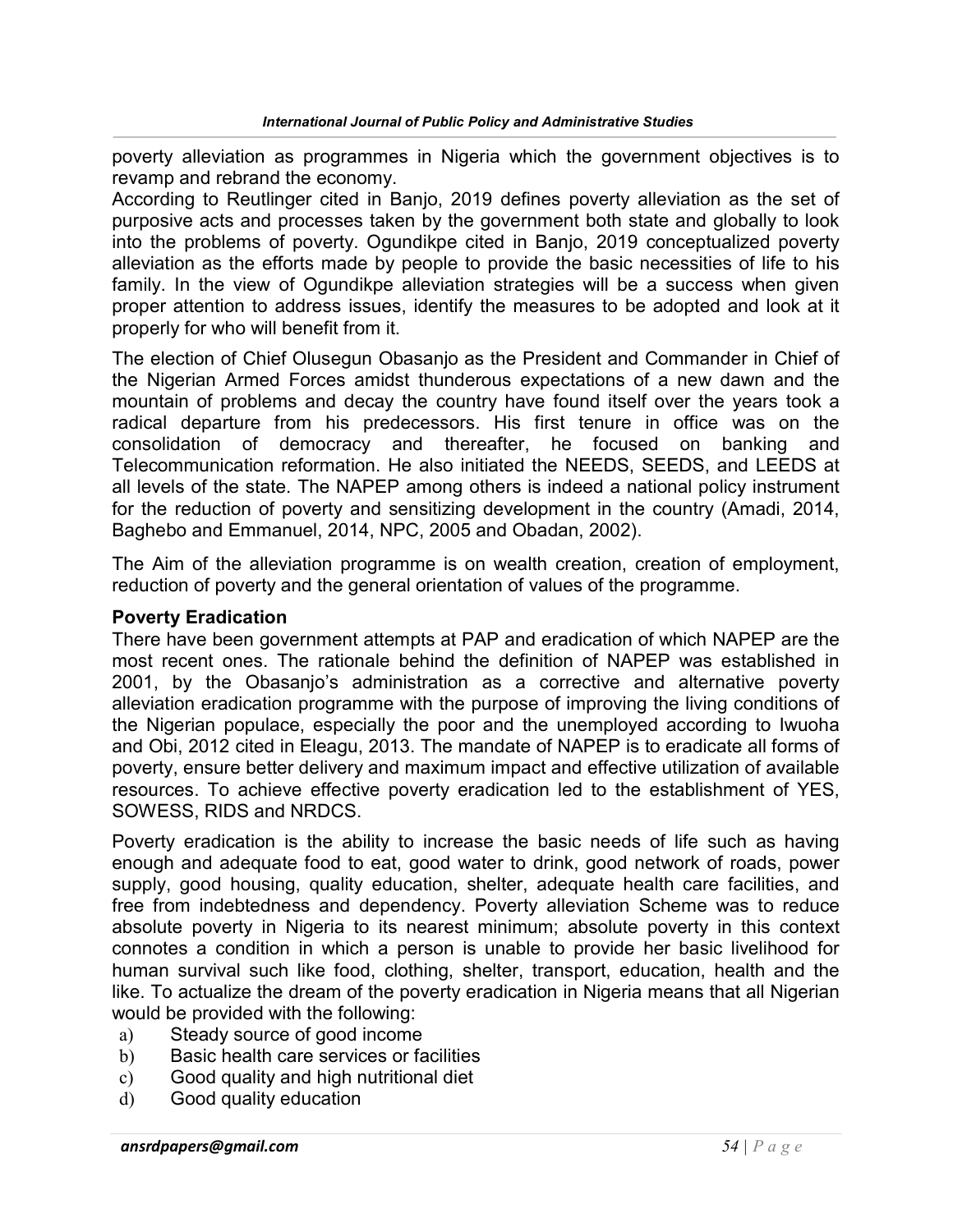poverty alleviation as programmes in Nigeria which the government objectives is to revamp and rebrand the economy.

According to Reutlinger cited in Banjo, 2019 defines poverty alleviation as the set of purposive acts and processes taken by the government both state and globally to look into the problems of poverty. Ogundikpe cited in Banjo, 2019 conceptualized poverty alleviation as the efforts made by people to provide the basic necessities of life to his family. In the view of Ogundikpe alleviation strategies will be a success when given proper attention to address issues, identify the measures to be adopted and look at it properly for who will benefit from it.

The election of Chief Olusegun Obasanjo as the President and Commander in Chief of the Nigerian Armed Forces amidst thunderous expectations of a new dawn and the mountain of problems and decay the country have found itself over the years took a radical departure from his predecessors. His first tenure in office was on the consolidation of democracy and thereafter, he focused on banking and Telecommunication reformation. He also initiated the NEEDS, SEEDS, and LEEDS at all levels of the state. The NAPEP among others is indeed a national policy instrument for the reduction of poverty and sensitizing development in the country (Amadi, 2014, Baghebo and Emmanuel, 2014, NPC, 2005 and Obadan, 2002).

The Aim of the alleviation programme is on wealth creation, creation of employment, reduction of poverty and the general orientation of values of the programme.

#### Poverty Eradication

There have been government attempts at PAP and eradication of which NAPEP are the most recent ones. The rationale behind the definition of NAPEP was established in 2001, by the Obasanjo's administration as a corrective and alternative poverty alleviation eradication programme with the purpose of improving the living conditions of the Nigerian populace, especially the poor and the unemployed according to Iwuoha and Obi, 2012 cited in Eleagu, 2013. The mandate of NAPEP is to eradicate all forms of poverty, ensure better delivery and maximum impact and effective utilization of available resources. To achieve effective poverty eradication led to the establishment of YES, SOWESS, RIDS and NRDCS.

Poverty eradication is the ability to increase the basic needs of life such as having enough and adequate food to eat, good water to drink, good network of roads, power supply, good housing, quality education, shelter, adequate health care facilities, and free from indebtedness and dependency. Poverty alleviation Scheme was to reduce absolute poverty in Nigeria to its nearest minimum; absolute poverty in this context connotes a condition in which a person is unable to provide her basic livelihood for human survival such like food, clothing, shelter, transport, education, health and the like. To actualize the dream of the poverty eradication in Nigeria means that all Nigerian would be provided with the following:

- a) Steady source of good income
- b) Basic health care services or facilities
- c) Good quality and high nutritional diet
- d) Good quality education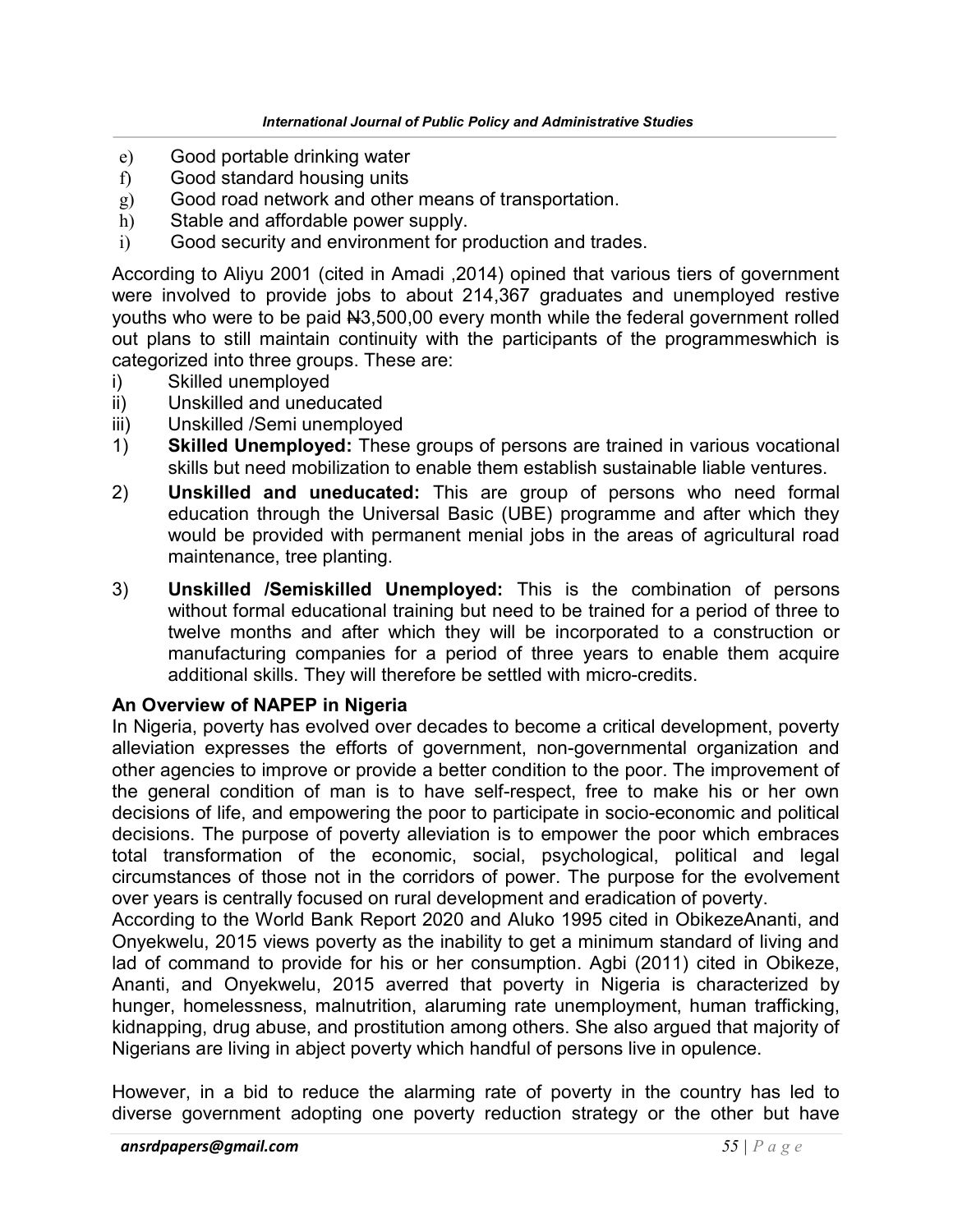- e) Good portable drinking water
- f) Good standard housing units
- g) Good road network and other means of transportation.
- h) Stable and affordable power supply.
- i) Good security and environment for production and trades.

According to Aliyu 2001 (cited in Amadi ,2014) opined that various tiers of government were involved to provide jobs to about 214,367 graduates and unemployed restive youths who were to be paid N3,500,00 every month while the federal government rolled out plans to still maintain continuity with the participants of the programmeswhich is categorized into three groups. These are:

- i) Skilled unemployed
- ii) Unskilled and uneducated
- iii) Unskilled /Semi unemployed
- 1) Skilled Unemployed: These groups of persons are trained in various vocational skills but need mobilization to enable them establish sustainable liable ventures.
- 2) Unskilled and uneducated: This are group of persons who need formal education through the Universal Basic (UBE) programme and after which they would be provided with permanent menial jobs in the areas of agricultural road maintenance, tree planting.
- 3) Unskilled /Semiskilled Unemployed: This is the combination of persons without formal educational training but need to be trained for a period of three to twelve months and after which they will be incorporated to a construction or manufacturing companies for a period of three years to enable them acquire additional skills. They will therefore be settled with micro-credits.

# An Overview of NAPEP in Nigeria

In Nigeria, poverty has evolved over decades to become a critical development, poverty alleviation expresses the efforts of government, non-governmental organization and other agencies to improve or provide a better condition to the poor. The improvement of the general condition of man is to have self-respect, free to make his or her own decisions of life, and empowering the poor to participate in socio-economic and political decisions. The purpose of poverty alleviation is to empower the poor which embraces total transformation of the economic, social, psychological, political and legal circumstances of those not in the corridors of power. The purpose for the evolvement over years is centrally focused on rural development and eradication of poverty.

According to the World Bank Report 2020 and Aluko 1995 cited in ObikezeAnanti, and Onyekwelu, 2015 views poverty as the inability to get a minimum standard of living and lad of command to provide for his or her consumption. Agbi (2011) cited in Obikeze, Ananti, and Onyekwelu, 2015 averred that poverty in Nigeria is characterized by hunger, homelessness, malnutrition, alaruming rate unemployment, human trafficking, kidnapping, drug abuse, and prostitution among others. She also argued that majority of Nigerians are living in abject poverty which handful of persons live in opulence.

However, in a bid to reduce the alarming rate of poverty in the country has led to diverse government adopting one poverty reduction strategy or the other but have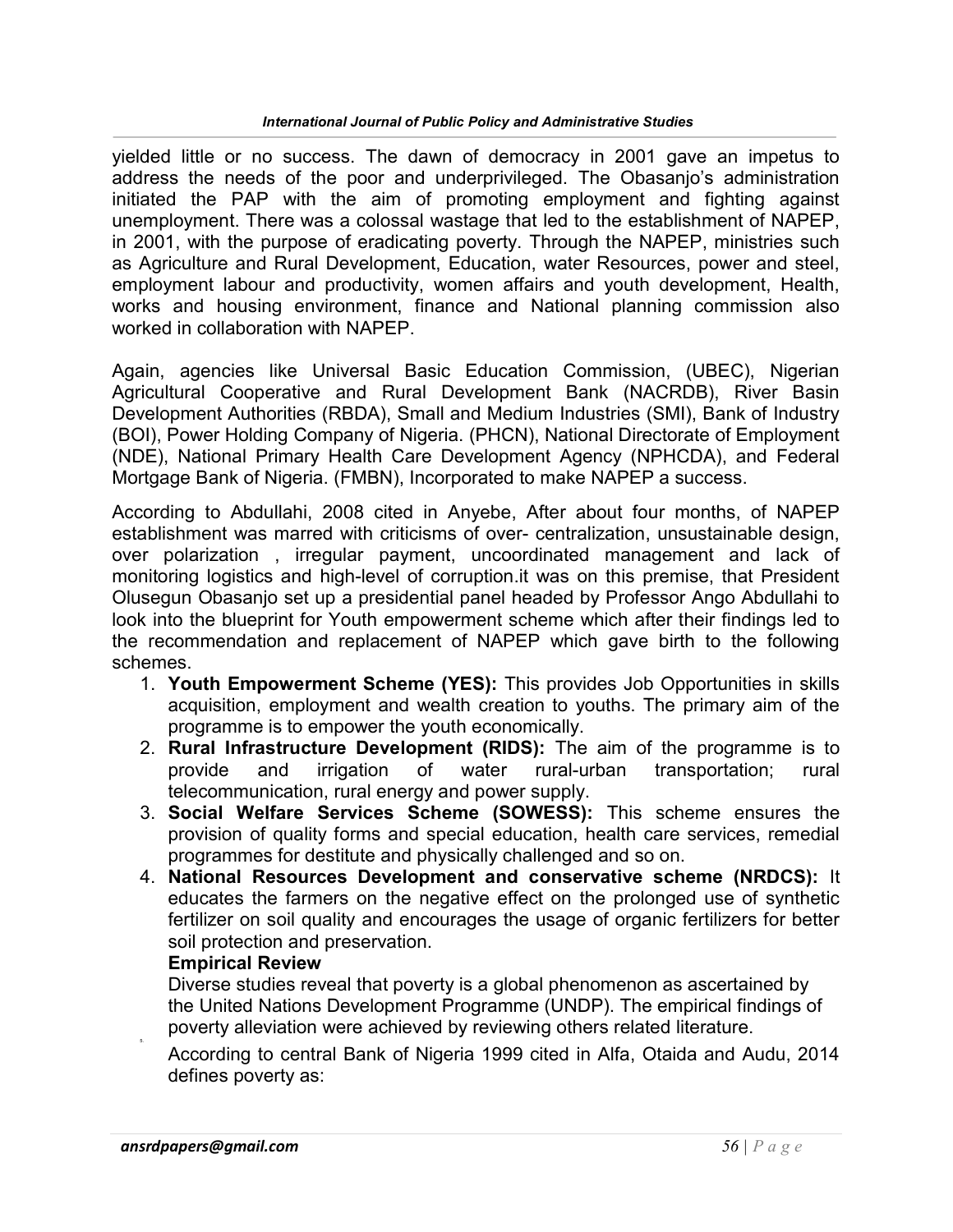yielded little or no success. The dawn of democracy in 2001 gave an impetus to address the needs of the poor and underprivileged. The Obasanjo's administration initiated the PAP with the aim of promoting employment and fighting against unemployment. There was a colossal wastage that led to the establishment of NAPEP, in 2001, with the purpose of eradicating poverty. Through the NAPEP, ministries such as Agriculture and Rural Development, Education, water Resources, power and steel, employment labour and productivity, women affairs and youth development, Health, works and housing environment, finance and National planning commission also worked in collaboration with NAPEP.

Again, agencies like Universal Basic Education Commission, (UBEC), Nigerian Agricultural Cooperative and Rural Development Bank (NACRDB), River Basin Development Authorities (RBDA), Small and Medium Industries (SMI), Bank of Industry (BOI), Power Holding Company of Nigeria. (PHCN), National Directorate of Employment (NDE), National Primary Health Care Development Agency (NPHCDA), and Federal Mortgage Bank of Nigeria. (FMBN), Incorporated to make NAPEP a success.

According to Abdullahi, 2008 cited in Anyebe, After about four months, of NAPEP establishment was marred with criticisms of over- centralization, unsustainable design, over polarization , irregular payment, uncoordinated management and lack of monitoring logistics and high-level of corruption.it was on this premise, that President Olusegun Obasanjo set up a presidential panel headed by Professor Ango Abdullahi to look into the blueprint for Youth empowerment scheme which after their findings led to the recommendation and replacement of NAPEP which gave birth to the following schemes.

- 1. Youth Empowerment Scheme (YES): This provides Job Opportunities in skills acquisition, employment and wealth creation to youths. The primary aim of the programme is to empower the youth economically.
- 2. Rural Infrastructure Development (RIDS): The aim of the programme is to provide and irrigation of water rural-urban transportation; rural telecommunication, rural energy and power supply.
- 3. Social Welfare Services Scheme (SOWESS): This scheme ensures the provision of quality forms and special education, health care services, remedial programmes for destitute and physically challenged and so on.
- 4. National Resources Development and conservative scheme (NRDCS): It educates the farmers on the negative effect on the prolonged use of synthetic fertilizer on soil quality and encourages the usage of organic fertilizers for better soil protection and preservation.

#### Empirical Review

Diverse studies reveal that poverty is a global phenomenon as ascertained by the United Nations Development Programme (UNDP). The empirical findings of poverty alleviation were achieved by reviewing others related literature.

According to central Bank of Nigeria 1999 cited in Alfa, Otaida and Audu, 2014 defines poverty as:

5.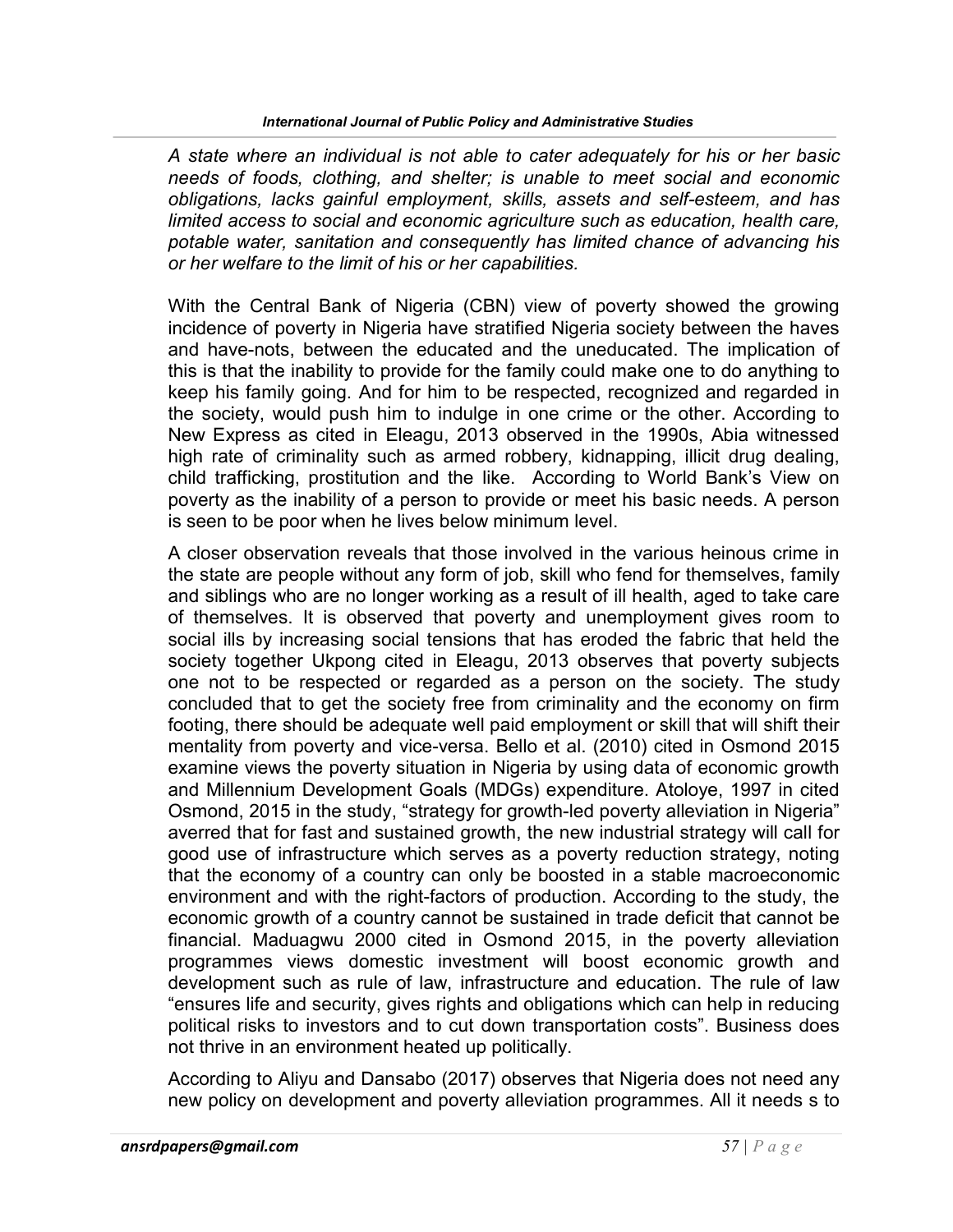A state where an individual is not able to cater adequately for his or her basic needs of foods, clothing, and shelter; is unable to meet social and economic obligations, lacks gainful employment, skills, assets and self-esteem, and has limited access to social and economic agriculture such as education, health care, potable water, sanitation and consequently has limited chance of advancing his or her welfare to the limit of his or her capabilities.

With the Central Bank of Nigeria (CBN) view of poverty showed the growing incidence of poverty in Nigeria have stratified Nigeria society between the haves and have-nots, between the educated and the uneducated. The implication of this is that the inability to provide for the family could make one to do anything to keep his family going. And for him to be respected, recognized and regarded in the society, would push him to indulge in one crime or the other. According to New Express as cited in Eleagu, 2013 observed in the 1990s, Abia witnessed high rate of criminality such as armed robbery, kidnapping, illicit drug dealing, child trafficking, prostitution and the like. According to World Bank's View on poverty as the inability of a person to provide or meet his basic needs. A person is seen to be poor when he lives below minimum level.

A closer observation reveals that those involved in the various heinous crime in the state are people without any form of job, skill who fend for themselves, family and siblings who are no longer working as a result of ill health, aged to take care of themselves. It is observed that poverty and unemployment gives room to social ills by increasing social tensions that has eroded the fabric that held the society together Ukpong cited in Eleagu, 2013 observes that poverty subjects one not to be respected or regarded as a person on the society. The study concluded that to get the society free from criminality and the economy on firm footing, there should be adequate well paid employment or skill that will shift their mentality from poverty and vice-versa. Bello et al. (2010) cited in Osmond 2015 examine views the poverty situation in Nigeria by using data of economic growth and Millennium Development Goals (MDGs) expenditure. Atoloye, 1997 in cited Osmond, 2015 in the study, "strategy for growth-led poverty alleviation in Nigeria" averred that for fast and sustained growth, the new industrial strategy will call for good use of infrastructure which serves as a poverty reduction strategy, noting that the economy of a country can only be boosted in a stable macroeconomic environment and with the right-factors of production. According to the study, the economic growth of a country cannot be sustained in trade deficit that cannot be financial. Maduagwu 2000 cited in Osmond 2015, in the poverty alleviation programmes views domestic investment will boost economic growth and development such as rule of law, infrastructure and education. The rule of law "ensures life and security, gives rights and obligations which can help in reducing political risks to investors and to cut down transportation costs". Business does not thrive in an environment heated up politically.

According to Aliyu and Dansabo (2017) observes that Nigeria does not need any new policy on development and poverty alleviation programmes. All it needs s to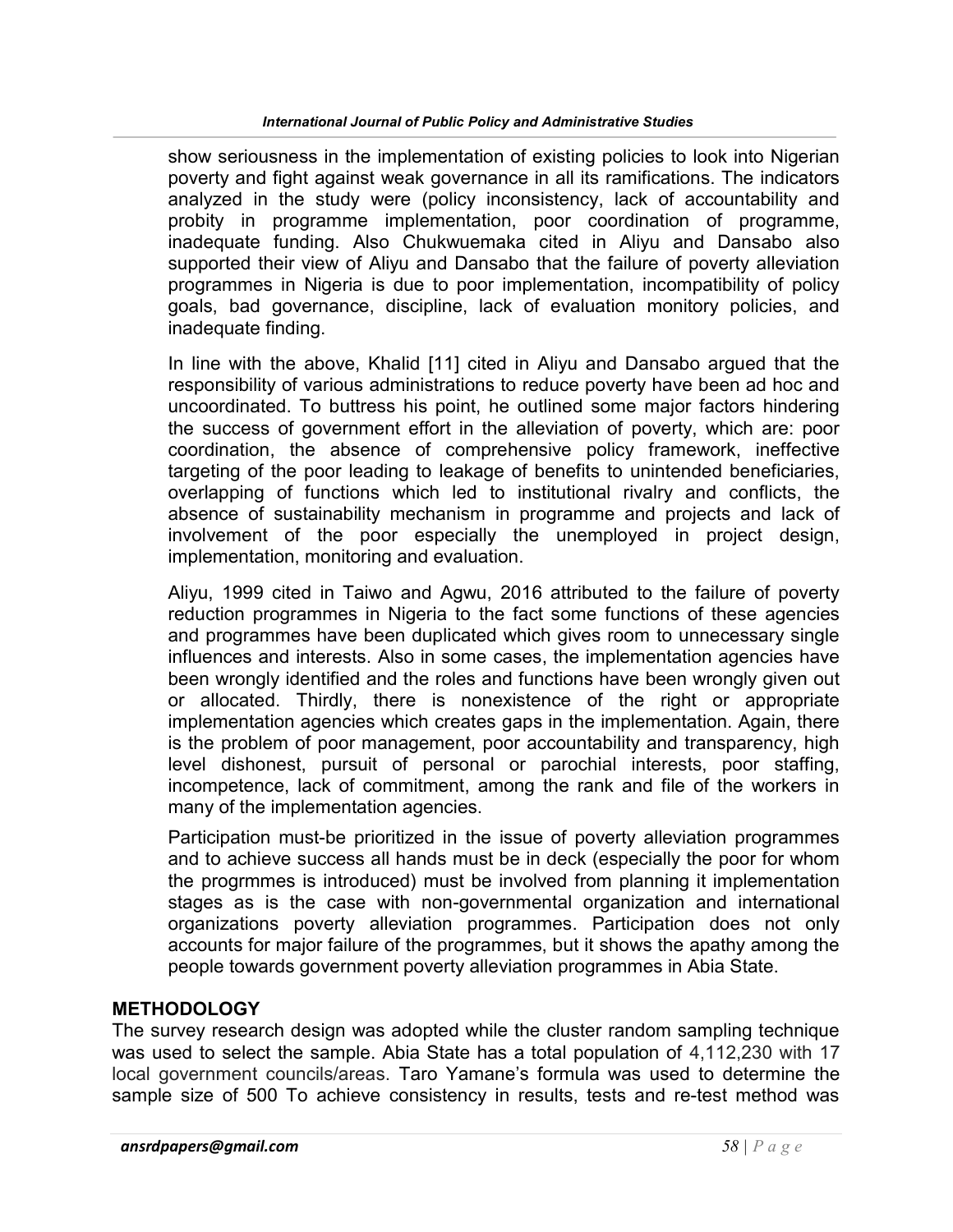show seriousness in the implementation of existing policies to look into Nigerian poverty and fight against weak governance in all its ramifications. The indicators analyzed in the study were (policy inconsistency, lack of accountability and probity in programme implementation, poor coordination of programme, inadequate funding. Also Chukwuemaka cited in Aliyu and Dansabo also supported their view of Aliyu and Dansabo that the failure of poverty alleviation programmes in Nigeria is due to poor implementation, incompatibility of policy goals, bad governance, discipline, lack of evaluation monitory policies, and inadequate finding.

In line with the above, Khalid [11] cited in Aliyu and Dansabo argued that the responsibility of various administrations to reduce poverty have been ad hoc and uncoordinated. To buttress his point, he outlined some major factors hindering the success of government effort in the alleviation of poverty, which are: poor coordination, the absence of comprehensive policy framework, ineffective targeting of the poor leading to leakage of benefits to unintended beneficiaries, overlapping of functions which led to institutional rivalry and conflicts, the absence of sustainability mechanism in programme and projects and lack of involvement of the poor especially the unemployed in project design, implementation, monitoring and evaluation.

Aliyu, 1999 cited in Taiwo and Agwu, 2016 attributed to the failure of poverty reduction programmes in Nigeria to the fact some functions of these agencies and programmes have been duplicated which gives room to unnecessary single influences and interests. Also in some cases, the implementation agencies have been wrongly identified and the roles and functions have been wrongly given out or allocated. Thirdly, there is nonexistence of the right or appropriate implementation agencies which creates gaps in the implementation. Again, there is the problem of poor management, poor accountability and transparency, high level dishonest, pursuit of personal or parochial interests, poor staffing, incompetence, lack of commitment, among the rank and file of the workers in many of the implementation agencies.

Participation must-be prioritized in the issue of poverty alleviation programmes and to achieve success all hands must be in deck (especially the poor for whom the progrmmes is introduced) must be involved from planning it implementation stages as is the case with non-governmental organization and international organizations poverty alleviation programmes. Participation does not only accounts for major failure of the programmes, but it shows the apathy among the people towards government poverty alleviation programmes in Abia State.

# METHODOLOGY

The survey research design was adopted while the cluster random sampling technique was used to select the sample. Abia State has a total population of 4,112,230 with 17 local government councils/areas. Taro Yamane's formula was used to determine the sample size of 500 To achieve consistency in results, tests and re-test method was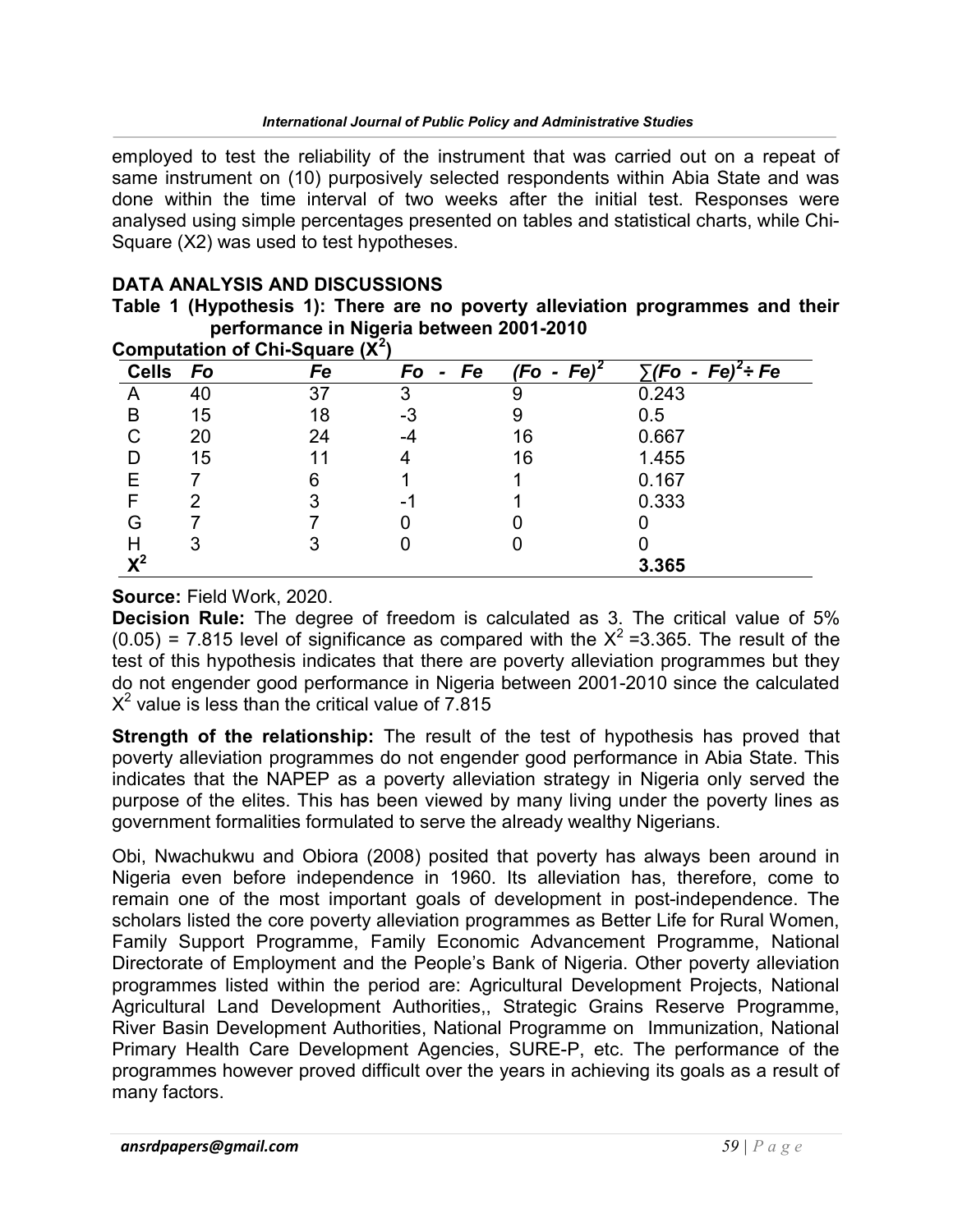employed to test the reliability of the instrument that was carried out on a repeat of same instrument on (10) purposively selected respondents within Abia State and was done within the time interval of two weeks after the initial test. Responses were analysed using simple percentages presented on tables and statistical charts, while Chi-Square (X2) was used to test hypotheses.

# DATA ANALYSIS AND DISCUSSIONS

|                                          |  |  | Table 1 (Hypothesis 1): There are no poverty alleviation programmes and their |  |
|------------------------------------------|--|--|-------------------------------------------------------------------------------|--|
| performance in Nigeria between 2001-2010 |  |  |                                                                               |  |

| Computation of Chi-Square $(X^2)$ |    |    |                            |                                          |                             |  |  |
|-----------------------------------|----|----|----------------------------|------------------------------------------|-----------------------------|--|--|
| <b>Cells</b>                      | Fo | Fe | Fo<br>Fe<br>$\blacksquare$ | Fe <sup>2</sup><br>(Fo<br>$\blacksquare$ | - $Fe)^2$ ÷ Fe<br><b>Fo</b> |  |  |
|                                   | 40 | 37 | っ                          |                                          | 0.243                       |  |  |
| в                                 | 15 | 18 | -3                         |                                          | 0.5                         |  |  |
|                                   | 20 | 24 |                            | 16                                       | 0.667                       |  |  |
|                                   | 15 |    |                            | 16                                       | 1.455                       |  |  |
|                                   |    |    |                            |                                          | 0.167                       |  |  |
|                                   |    |    |                            |                                          | 0.333                       |  |  |
| G                                 |    |    |                            |                                          |                             |  |  |
| H                                 | 3  |    |                            |                                          |                             |  |  |
| ∨2                                |    |    |                            |                                          | 3.365                       |  |  |

Source: Field Work, 2020.

Decision Rule: The degree of freedom is calculated as 3. The critical value of 5%  $(0.05)$  = 7.815 level of significance as compared with the  $X^2$  =3.365. The result of the test of this hypothesis indicates that there are poverty alleviation programmes but they do not engender good performance in Nigeria between 2001-2010 since the calculated  $X^2$  value is less than the critical value of 7.815

**Strength of the relationship:** The result of the test of hypothesis has proved that poverty alleviation programmes do not engender good performance in Abia State. This indicates that the NAPEP as a poverty alleviation strategy in Nigeria only served the purpose of the elites. This has been viewed by many living under the poverty lines as government formalities formulated to serve the already wealthy Nigerians.

Obi, Nwachukwu and Obiora (2008) posited that poverty has always been around in Nigeria even before independence in 1960. Its alleviation has, therefore, come to remain one of the most important goals of development in post-independence. The scholars listed the core poverty alleviation programmes as Better Life for Rural Women, Family Support Programme, Family Economic Advancement Programme, National Directorate of Employment and the People's Bank of Nigeria. Other poverty alleviation programmes listed within the period are: Agricultural Development Projects, National Agricultural Land Development Authorities,, Strategic Grains Reserve Programme, River Basin Development Authorities, National Programme on Immunization, National Primary Health Care Development Agencies, SURE-P, etc. The performance of the programmes however proved difficult over the years in achieving its goals as a result of many factors.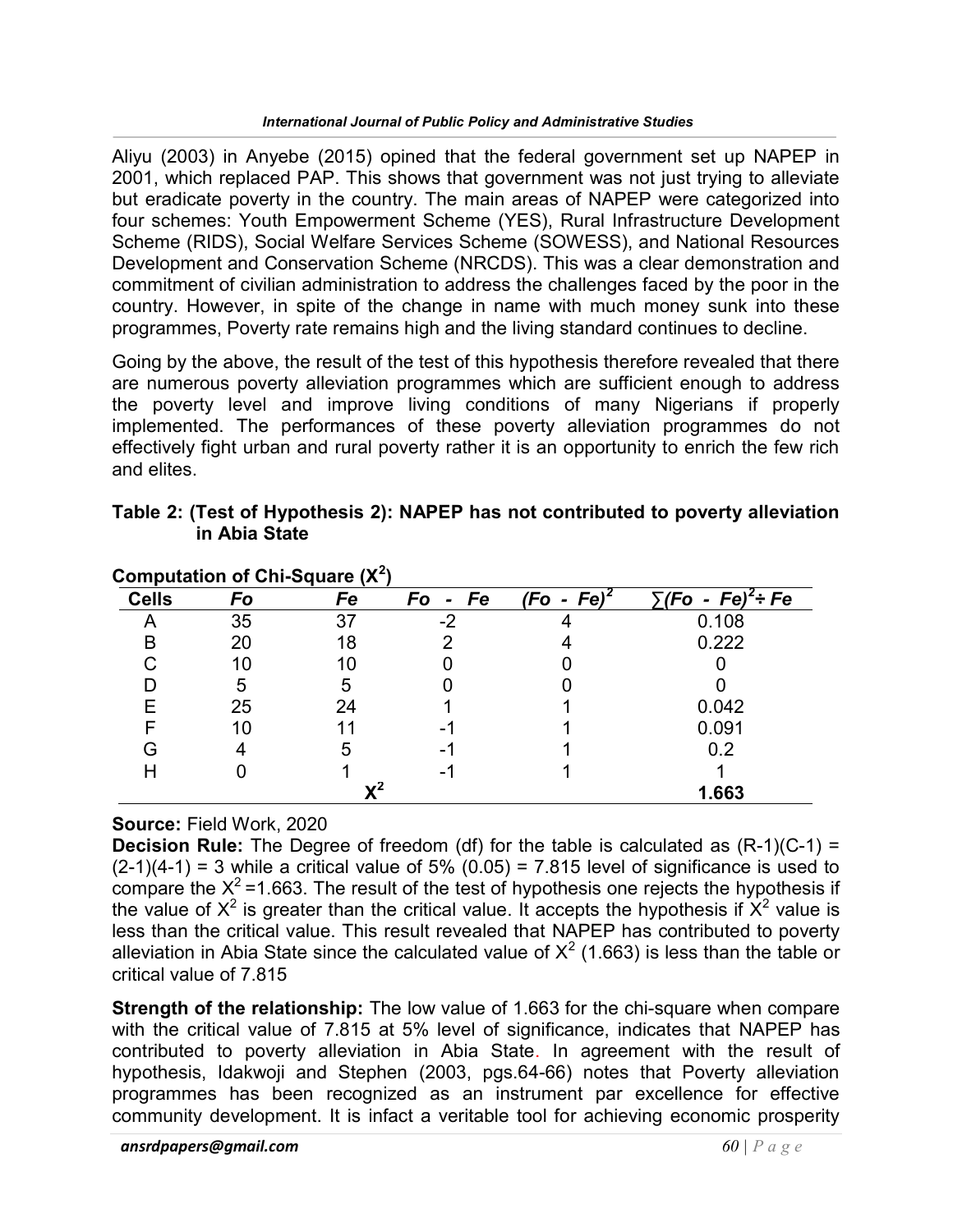Aliyu (2003) in Anyebe (2015) opined that the federal government set up NAPEP in 2001, which replaced PAP. This shows that government was not just trying to alleviate but eradicate poverty in the country. The main areas of NAPEP were categorized into four schemes: Youth Empowerment Scheme (YES), Rural Infrastructure Development Scheme (RIDS), Social Welfare Services Scheme (SOWESS), and National Resources Development and Conservation Scheme (NRCDS). This was a clear demonstration and commitment of civilian administration to address the challenges faced by the poor in the country. However, in spite of the change in name with much money sunk into these programmes, Poverty rate remains high and the living standard continues to decline.

Going by the above, the result of the test of this hypothesis therefore revealed that there are numerous poverty alleviation programmes which are sufficient enough to address the poverty level and improve living conditions of many Nigerians if properly implemented. The performances of these poverty alleviation programmes do not effectively fight urban and rural poverty rather it is an opportunity to enrich the few rich and elites.

| Computation of Chi-Square $(X^2)$ |    |    |         |               |                                |  |
|-----------------------------------|----|----|---------|---------------|--------------------------------|--|
| <b>Cells</b>                      | Fo | Fe | Fo - Fe | $(Fo - Fe)^2$ | ์ <i>(Fo</i><br>- $Fe)^2$ ÷ Fe |  |
|                                   | 35 | 37 | $-2$    |               | 0.108                          |  |
|                                   | 20 | 18 |         |               | 0.222                          |  |
|                                   | 10 |    |         |               |                                |  |
|                                   | 5  | 5  |         |               |                                |  |
|                                   | 25 | 24 |         |               | 0.042                          |  |
|                                   |    |    |         |               | 0.091                          |  |
| ੨                                 |    | 5  |         |               | 0.2                            |  |
|                                   |    |    |         |               |                                |  |
|                                   |    | v2 |         |               | 1.663                          |  |

Table 2: (Test of Hypothesis 2): NAPEP has not contributed to poverty alleviation in Abia State

# Source: Field Work, 2020

**Decision Rule:** The Degree of freedom (df) for the table is calculated as  $(R-1)(C-1) =$  $(2-1)(4-1) = 3$  while a critical value of 5%  $(0.05) = 7.815$  level of significance is used to compare the  $X^2$ =1.663. The result of the test of hypothesis one rejects the hypothesis if the value of  $X^2$  is greater than the critical value. It accepts the hypothesis if  $X^2$  value is less than the critical value. This result revealed that NAPEP has contributed to poverty alleviation in Abia State since the calculated value of  $\mathsf{X}^2$  (1.663) is less than the table or critical value of 7.815

Strength of the relationship: The low value of 1.663 for the chi-square when compare with the critical value of 7.815 at 5% level of significance, indicates that NAPEP has contributed to poverty alleviation in Abia State. In agreement with the result of hypothesis, Idakwoji and Stephen (2003, pgs.64-66) notes that Poverty alleviation programmes has been recognized as an instrument par excellence for effective community development. It is infact a veritable tool for achieving economic prosperity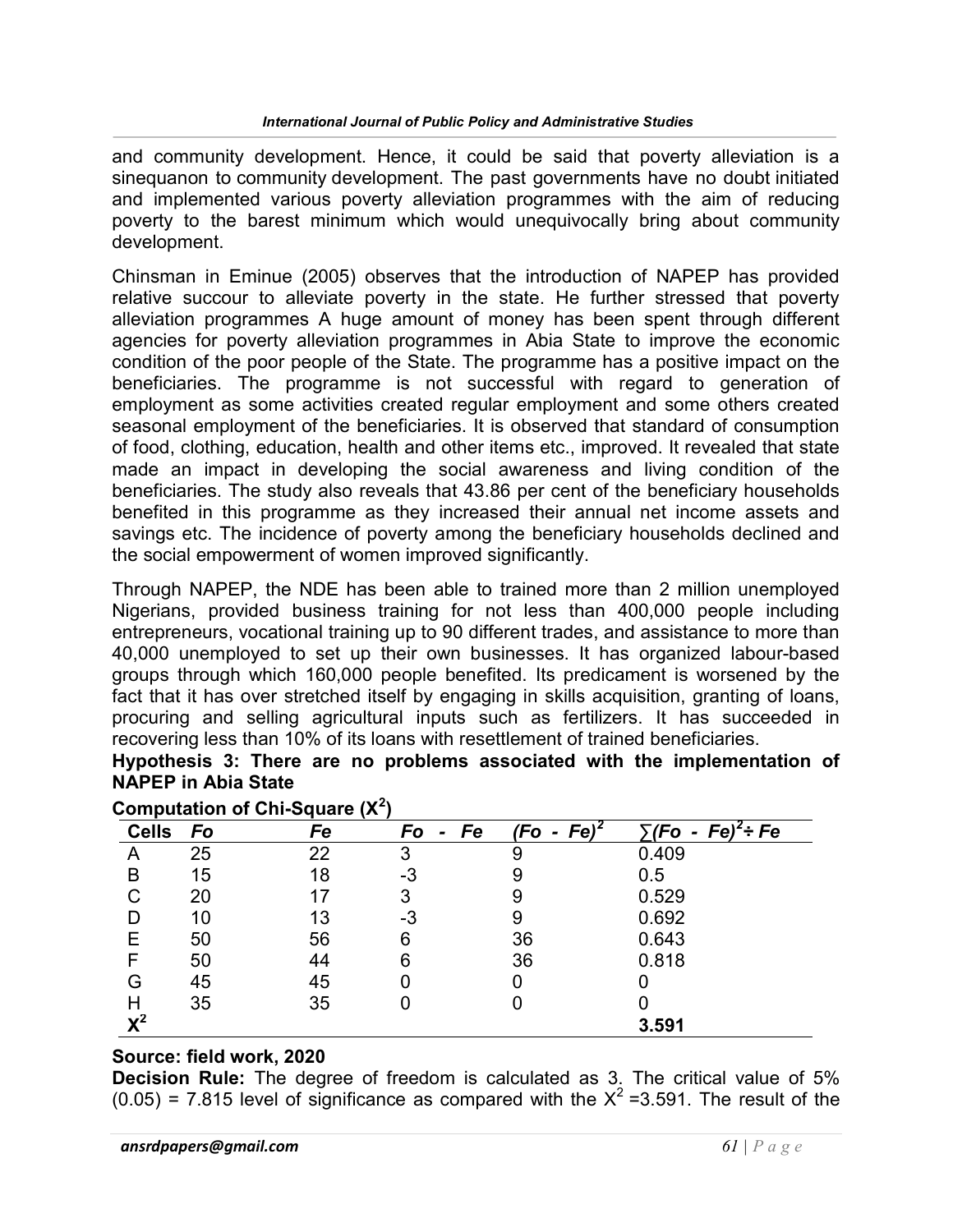and community development. Hence, it could be said that poverty alleviation is a sinequanon to community development. The past governments have no doubt initiated and implemented various poverty alleviation programmes with the aim of reducing poverty to the barest minimum which would unequivocally bring about community development.

Chinsman in Eminue (2005) observes that the introduction of NAPEP has provided relative succour to alleviate poverty in the state. He further stressed that poverty alleviation programmes A huge amount of money has been spent through different agencies for poverty alleviation programmes in Abia State to improve the economic condition of the poor people of the State. The programme has a positive impact on the beneficiaries. The programme is not successful with regard to generation of employment as some activities created regular employment and some others created seasonal employment of the beneficiaries. It is observed that standard of consumption of food, clothing, education, health and other items etc., improved. It revealed that state made an impact in developing the social awareness and living condition of the beneficiaries. The study also reveals that 43.86 per cent of the beneficiary households benefited in this programme as they increased their annual net income assets and savings etc. The incidence of poverty among the beneficiary households declined and the social empowerment of women improved significantly.

Through NAPEP, the NDE has been able to trained more than 2 million unemployed Nigerians, provided business training for not less than 400,000 people including entrepreneurs, vocational training up to 90 different trades, and assistance to more than 40,000 unemployed to set up their own businesses. It has organized labour-based groups through which 160,000 people benefited. Its predicament is worsened by the fact that it has over stretched itself by engaging in skills acquisition, granting of loans, procuring and selling agricultural inputs such as fertilizers. It has succeeded in recovering less than 10% of its loans with resettlement of trained beneficiaries.

Hypothesis 3: There are no problems associated with the implementation of NAPEP in Abia State

| <b>Cells</b>   | Fo | Fe | Fe<br>Fo<br>$\blacksquare$ | Fe <sup>2</sup><br>(Fo - | $\nabla$<br>$Fe)^2$ ÷ Fe<br>$\blacksquare$ |
|----------------|----|----|----------------------------|--------------------------|--------------------------------------------|
| A              | 25 | 22 | 3                          | 9                        | 0.409                                      |
| B              | 15 | 18 | -3                         |                          | 0.5                                        |
|                | 20 |    | 3                          | 9                        | 0.529                                      |
|                | 10 | 13 | -3                         |                          | 0.692                                      |
| E              | 50 | 56 | 6                          | 36                       | 0.643                                      |
| F              | 50 | 44 | 6                          | 36                       | 0.818                                      |
| G              | 45 | 45 |                            |                          |                                            |
|                | 35 | 35 |                            |                          |                                            |
| $\mathsf{X}^2$ |    |    |                            |                          | 3.591                                      |

# Computation of Chi-Square  $(X^2)$

#### Source: field work, 2020

Decision Rule: The degree of freedom is calculated as 3. The critical value of 5%  $(0.05)$  = 7.815 level of significance as compared with the  $X^2$  =3.591. The result of the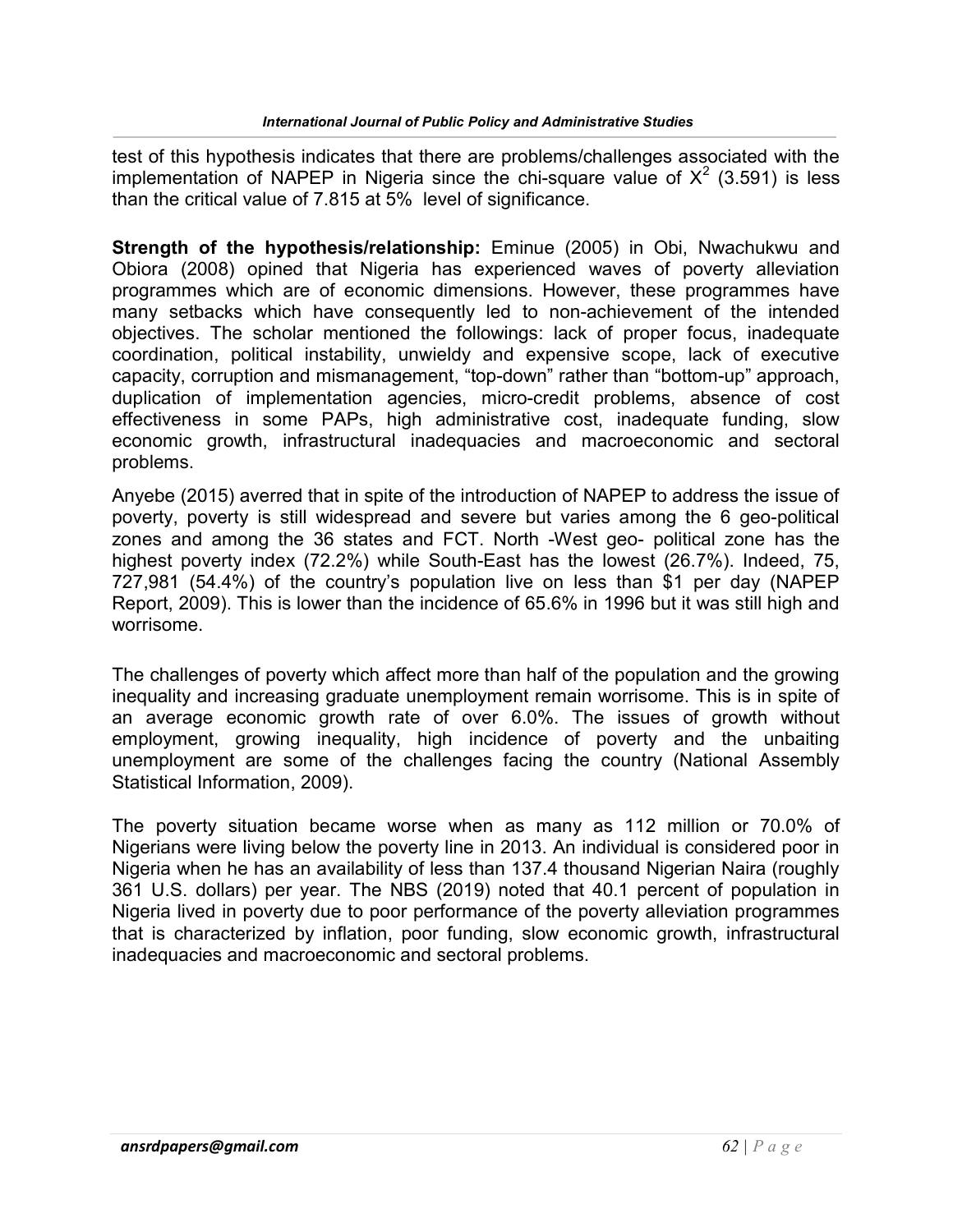test of this hypothesis indicates that there are problems/challenges associated with the implementation of NAPEP in Nigeria since the chi-square value of  $X^2$  (3.591) is less than the critical value of 7.815 at 5% level of significance.

Strength of the hypothesis/relationship: Eminue (2005) in Obi, Nwachukwu and Obiora (2008) opined that Nigeria has experienced waves of poverty alleviation programmes which are of economic dimensions. However, these programmes have many setbacks which have consequently led to non-achievement of the intended objectives. The scholar mentioned the followings: lack of proper focus, inadequate coordination, political instability, unwieldy and expensive scope, lack of executive capacity, corruption and mismanagement, "top-down" rather than "bottom-up" approach, duplication of implementation agencies, micro-credit problems, absence of cost effectiveness in some PAPs, high administrative cost, inadequate funding, slow economic growth, infrastructural inadequacies and macroeconomic and sectoral problems.

Anyebe (2015) averred that in spite of the introduction of NAPEP to address the issue of poverty, poverty is still widespread and severe but varies among the 6 geo-political zones and among the 36 states and FCT. North -West geo- political zone has the highest poverty index (72.2%) while South-East has the lowest (26.7%). Indeed, 75, 727,981 (54.4%) of the country's population live on less than \$1 per day (NAPEP Report, 2009). This is lower than the incidence of 65.6% in 1996 but it was still high and worrisome.

The challenges of poverty which affect more than half of the population and the growing inequality and increasing graduate unemployment remain worrisome. This is in spite of an average economic growth rate of over 6.0%. The issues of growth without employment, growing inequality, high incidence of poverty and the unbaiting unemployment are some of the challenges facing the country (National Assembly Statistical Information, 2009).

The poverty situation became worse when as many as 112 million or 70.0% of Nigerians were living below the poverty line in 2013. An individual is considered poor in Nigeria when he has an availability of less than 137.4 thousand Nigerian Naira (roughly 361 U.S. dollars) per year. The NBS (2019) noted that 40.1 percent of population in Nigeria lived in poverty due to poor performance of the poverty alleviation programmes that is characterized by inflation, poor funding, slow economic growth, infrastructural inadequacies and macroeconomic and sectoral problems.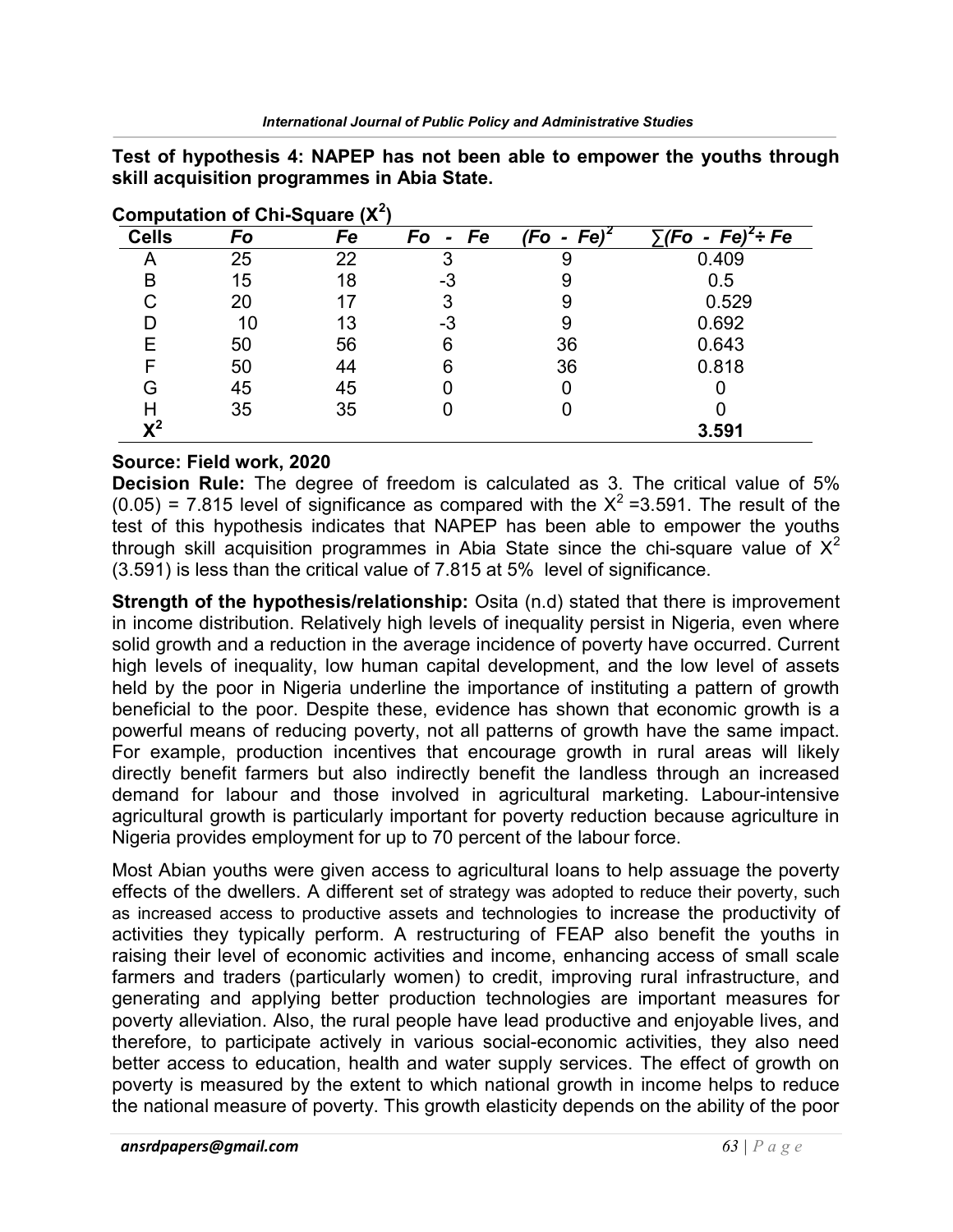Test of hypothesis 4: NAPEP has not been able to empower the youths through skill acquisition programmes in Abia State.

| <b>Cells</b>   | Fo | Fe | Fe<br>Fo | $Fe)^2$<br>(Fo - | $\cdot$ /F <sub>O</sub><br>$Fe)^2$ ÷ Fe<br>- |
|----------------|----|----|----------|------------------|----------------------------------------------|
|                | 25 | 22 | 3        | 9                | 0.409                                        |
| в              | 15 | 18 | -3       |                  | 0.5                                          |
|                | 20 | 17 |          |                  | 0.529                                        |
|                | 10 | 13 | -3       | 9                | 0.692                                        |
|                | 50 | 56 | 6        | 36               | 0.643                                        |
|                | 50 | 44 | 6        | 36               | 0.818                                        |
|                | 45 | 45 |          |                  |                                              |
|                | 35 | 35 |          |                  |                                              |
| $\mathbf{v}^2$ |    |    |          |                  | 3.591                                        |

| Computation of Chi-Square $(X^2)$ |  |
|-----------------------------------|--|
|                                   |  |

#### Source: Field work, 2020

Decision Rule: The degree of freedom is calculated as 3. The critical value of 5%  $(0.05)$  = 7.815 level of significance as compared with the  $X^2$  =3.591. The result of the test of this hypothesis indicates that NAPEP has been able to empower the youths through skill acquisition programmes in Abia State since the chi-square value of  $X^2$ (3.591) is less than the critical value of 7.815 at 5% level of significance.

Strength of the hypothesis/relationship: Osita (n.d) stated that there is improvement in income distribution. Relatively high levels of inequality persist in Nigeria, even where solid growth and a reduction in the average incidence of poverty have occurred. Current high levels of inequality, low human capital development, and the low level of assets held by the poor in Nigeria underline the importance of instituting a pattern of growth beneficial to the poor. Despite these, evidence has shown that economic growth is a powerful means of reducing poverty, not all patterns of growth have the same impact. For example, production incentives that encourage growth in rural areas will likely directly benefit farmers but also indirectly benefit the landless through an increased demand for labour and those involved in agricultural marketing. Labour-intensive agricultural growth is particularly important for poverty reduction because agriculture in Nigeria provides employment for up to 70 percent of the labour force.

Most Abian youths were given access to agricultural loans to help assuage the poverty effects of the dwellers. A different set of strategy was adopted to reduce their poverty, such as increased access to productive assets and technologies to increase the productivity of activities they typically perform. A restructuring of FEAP also benefit the youths in raising their level of economic activities and income, enhancing access of small scale farmers and traders (particularly women) to credit, improving rural infrastructure, and generating and applying better production technologies are important measures for poverty alleviation. Also, the rural people have lead productive and enjoyable lives, and therefore, to participate actively in various social-economic activities, they also need better access to education, health and water supply services. The effect of growth on poverty is measured by the extent to which national growth in income helps to reduce the national measure of poverty. This growth elasticity depends on the ability of the poor